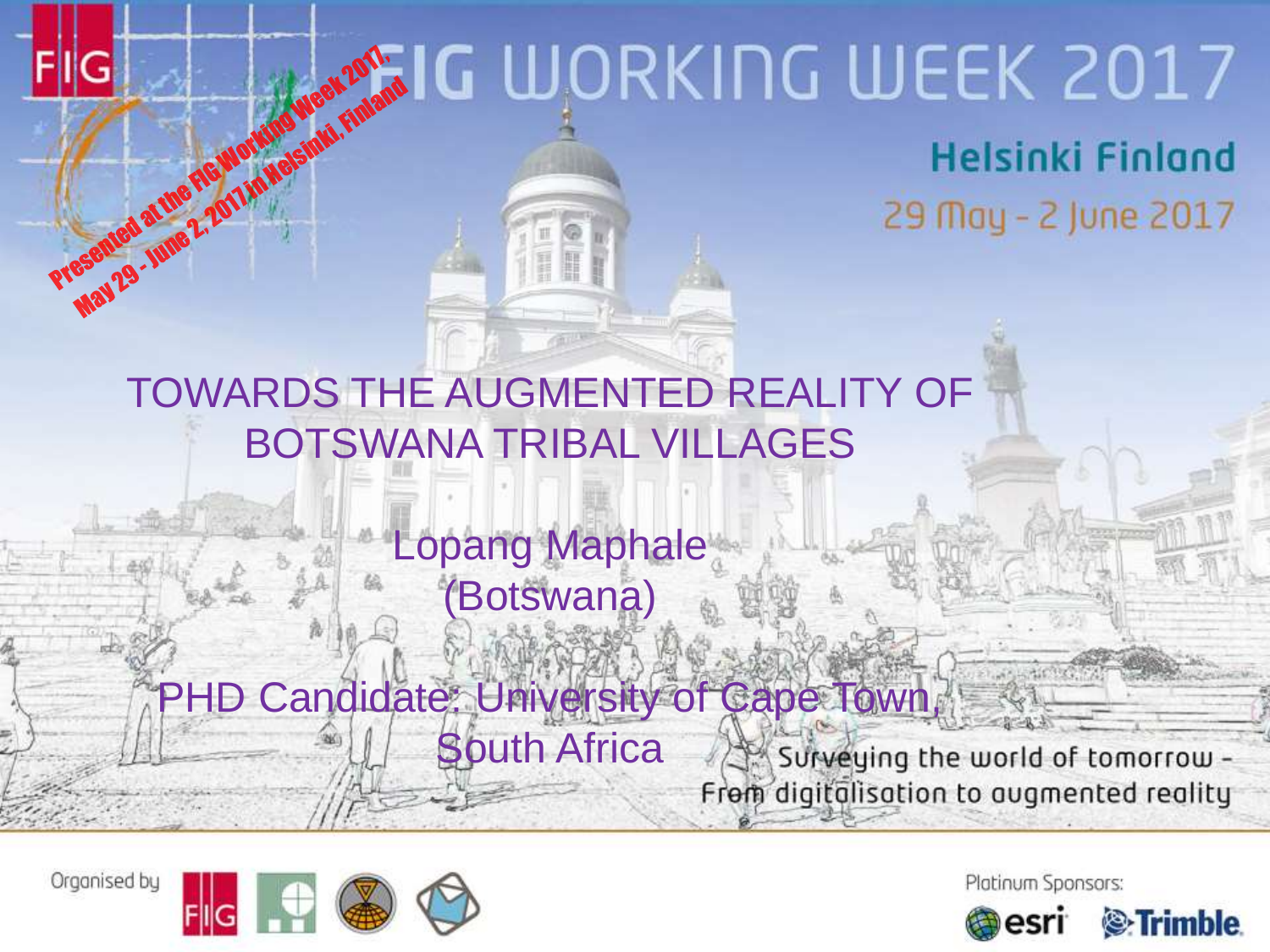# Presented at the FIG Working Week 2017, May 29 - June 2, 2011 in Helsinki, Finland<br>Seemed at the Figuro Marking Week , Finland

#### TOWARDS THE AUGMENTED REALITY OF BOTSWANA TRIBAL VILLAGES

#### Lopang Maphale (Botswana)

#### PHD Candidate: University of Cape Town, South Africa Surveying the world of tomorrow -From digitalisation to augmented reality



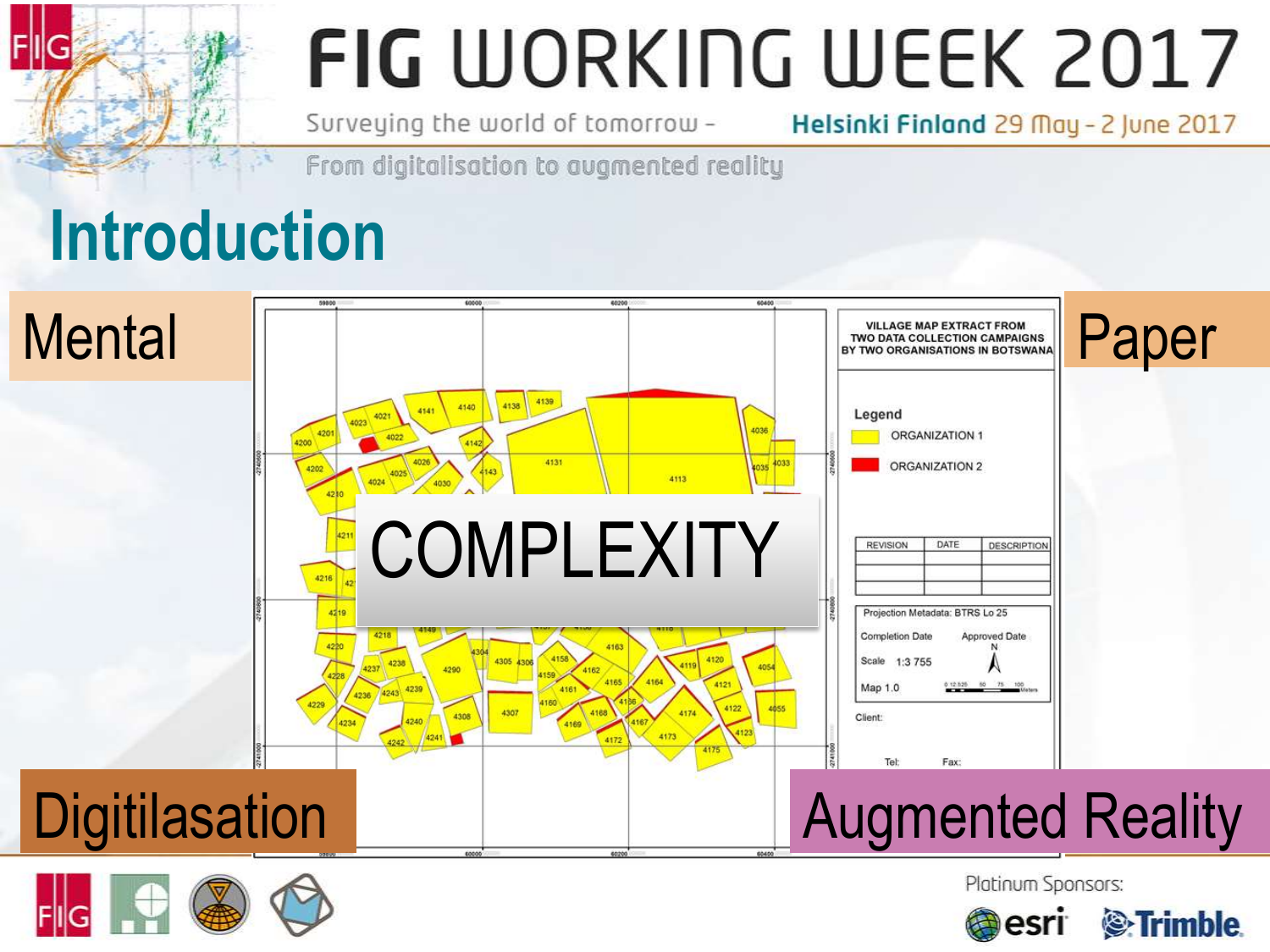Surveying the world of tomorrow -

Helsinki Finland 29 May - 2 June 2017

From digitalisation to avamented reality

### **Introduction**





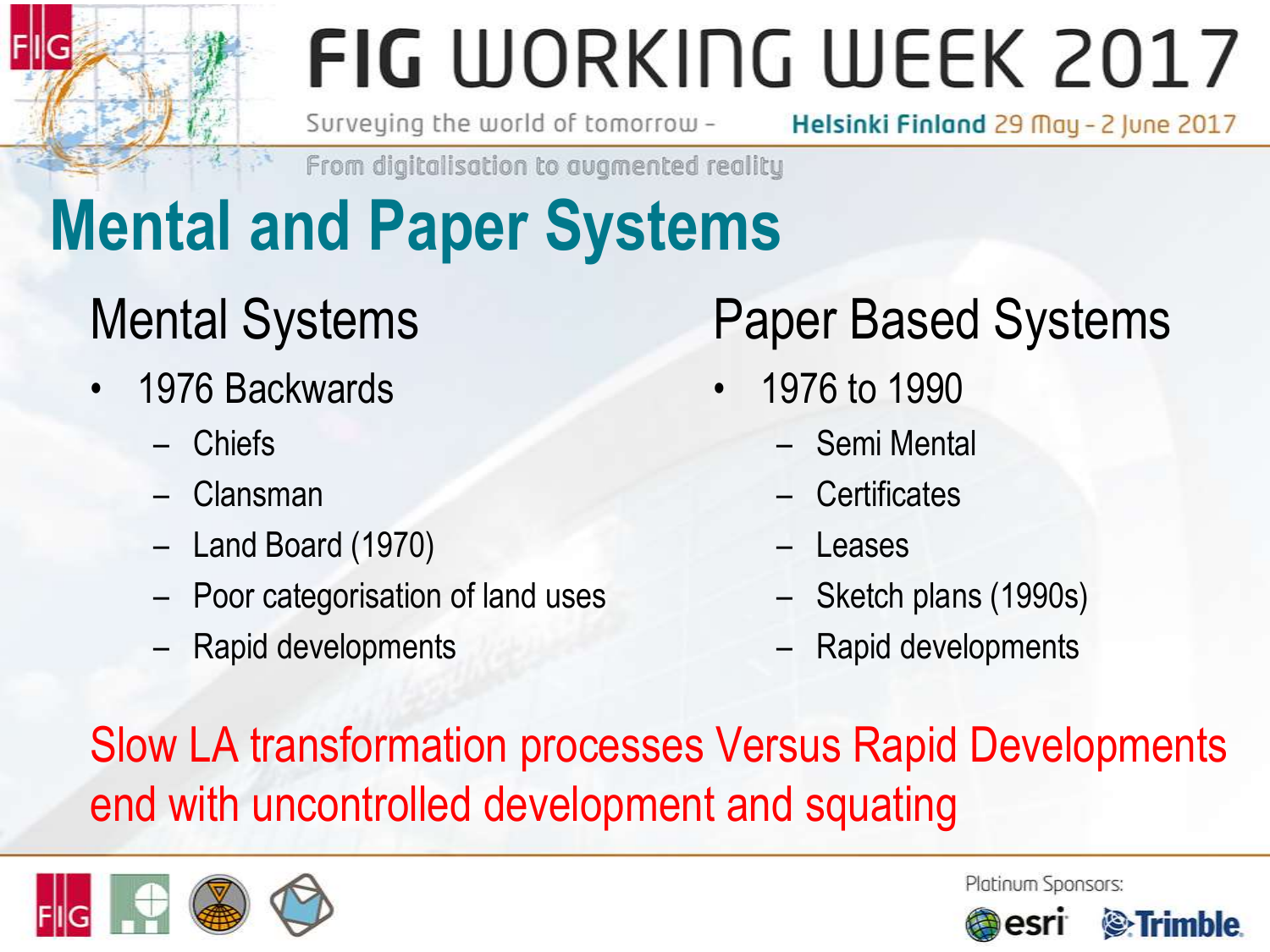Surveying the world of tomorrow -

Helsinki Finland 29 May - 2 June 2017

From digitalisation to augmented reality

## **Mental and Paper Systems**

#### Mental Systems

- 1976 Backwards
	- Chiefs
	- Clansman
	- Land Board (1970)
	- Poor categorisation of land uses
	- Rapid developments

#### Paper Based Systems

- 1976 to 1990
	- Semi Mental
	- Certificates
	- **Leases**
	- Sketch plans (1990s)
	- Rapid developments

Slow LA transformation processes Versus Rapid Developments end with uncontrolled development and squating



Platinum Sponsors:

*S*-Trimble

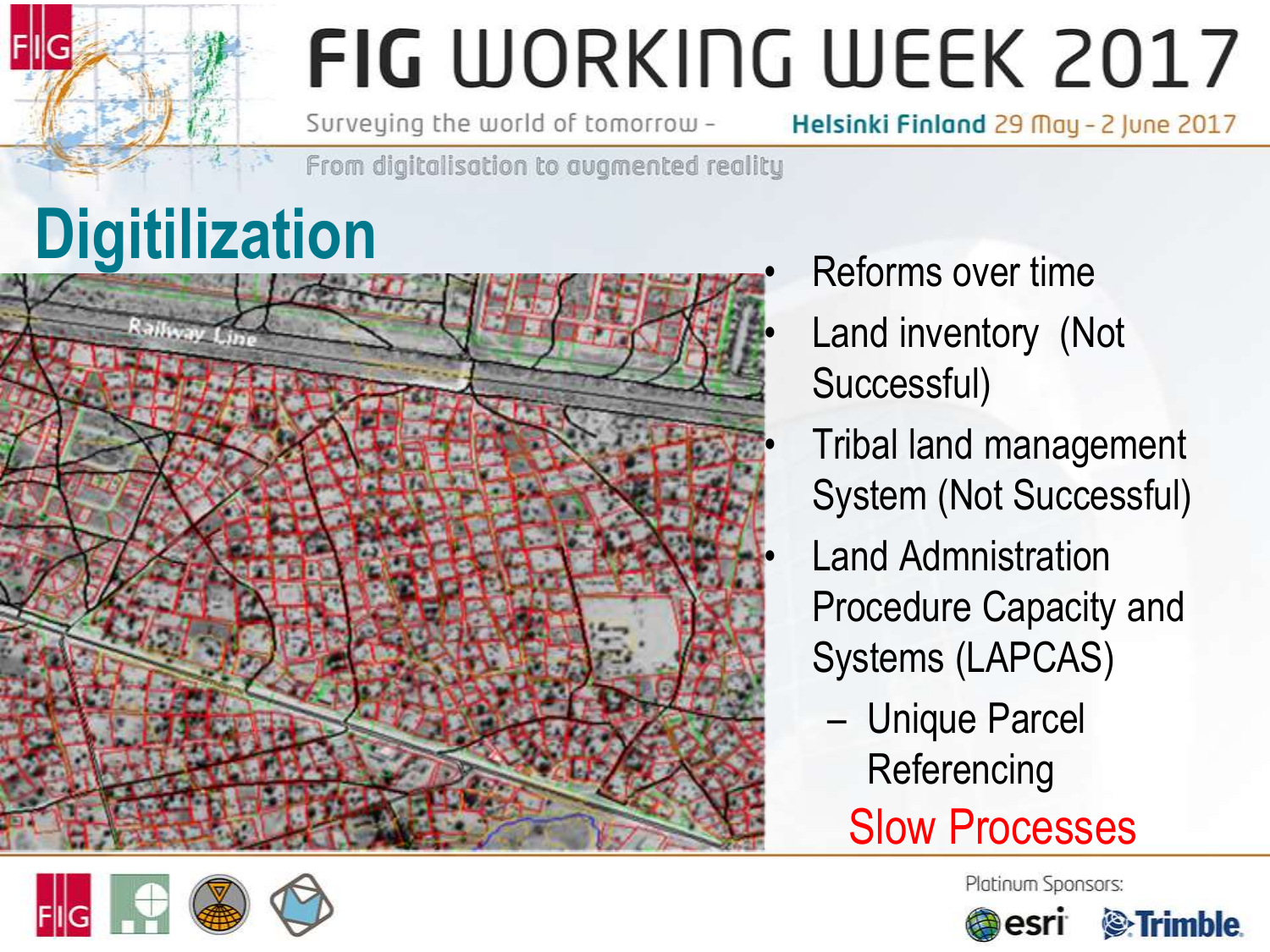Surveying the world of tomorrow -

Helsinki Finland 29 May - 2 June 2017

From digitalisation to augmented reality

# **Digitilization**



- Reforms over time
- Land inventory (Not Successful)
- Tribal land management System (Not Successful)
- Land Admnistration Procedure Capacity and Systems (LAPCAS)
	- Unique Parcel **Referencing** 
		- Slow Processes



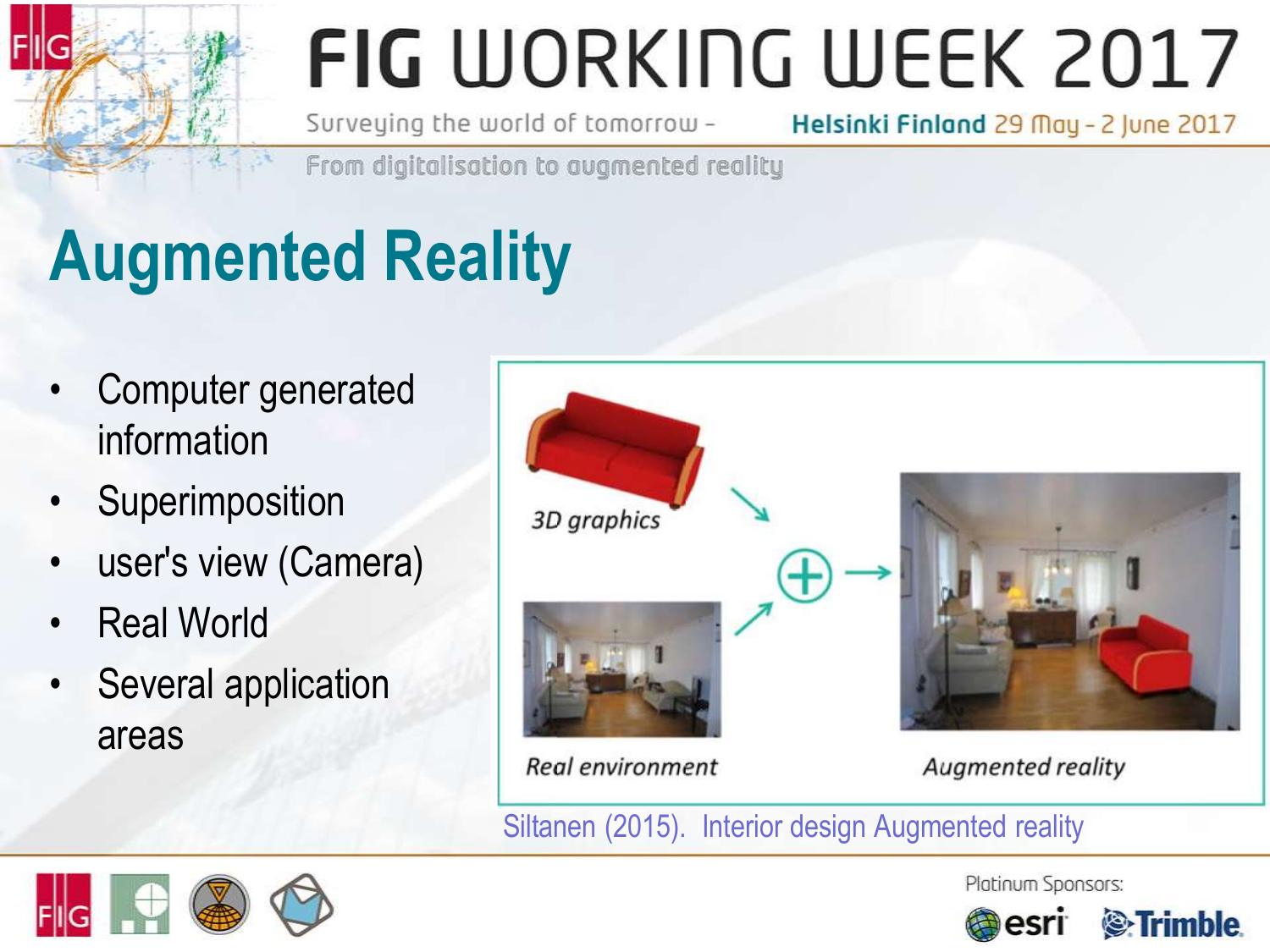Surveying the world of tomorrow -

Helsinki Finland 29 May - 2 June 2017

From digitalisation to avamented reality

## **Augmented Reality**

- Computer generated information
- **Superimposition**
- user's view (Camera)
- **Real World**
- Several application areas



Siltanen (2015). Interior design Augmented reality



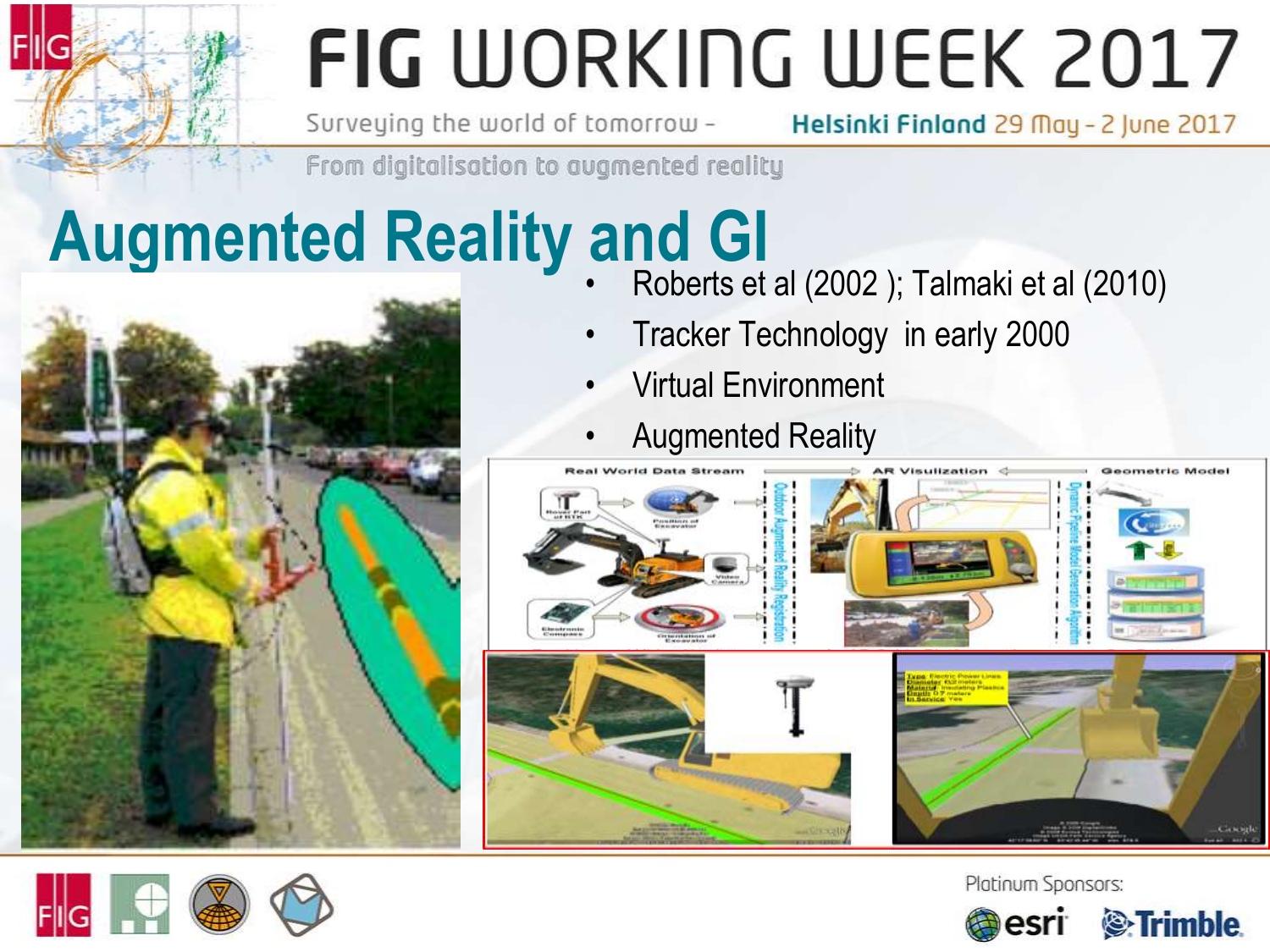Surveying the world of tomorrow -Helsinki Finland 29 May - 2 June 2017

From digitalisation to augmented reality

### **Augmented Reality and GI**



- Roberts et al (2002 ); Talmaki et al (2010)
- Tracker Technology in early 2000
- Virtual Environment
- Augmented Reality





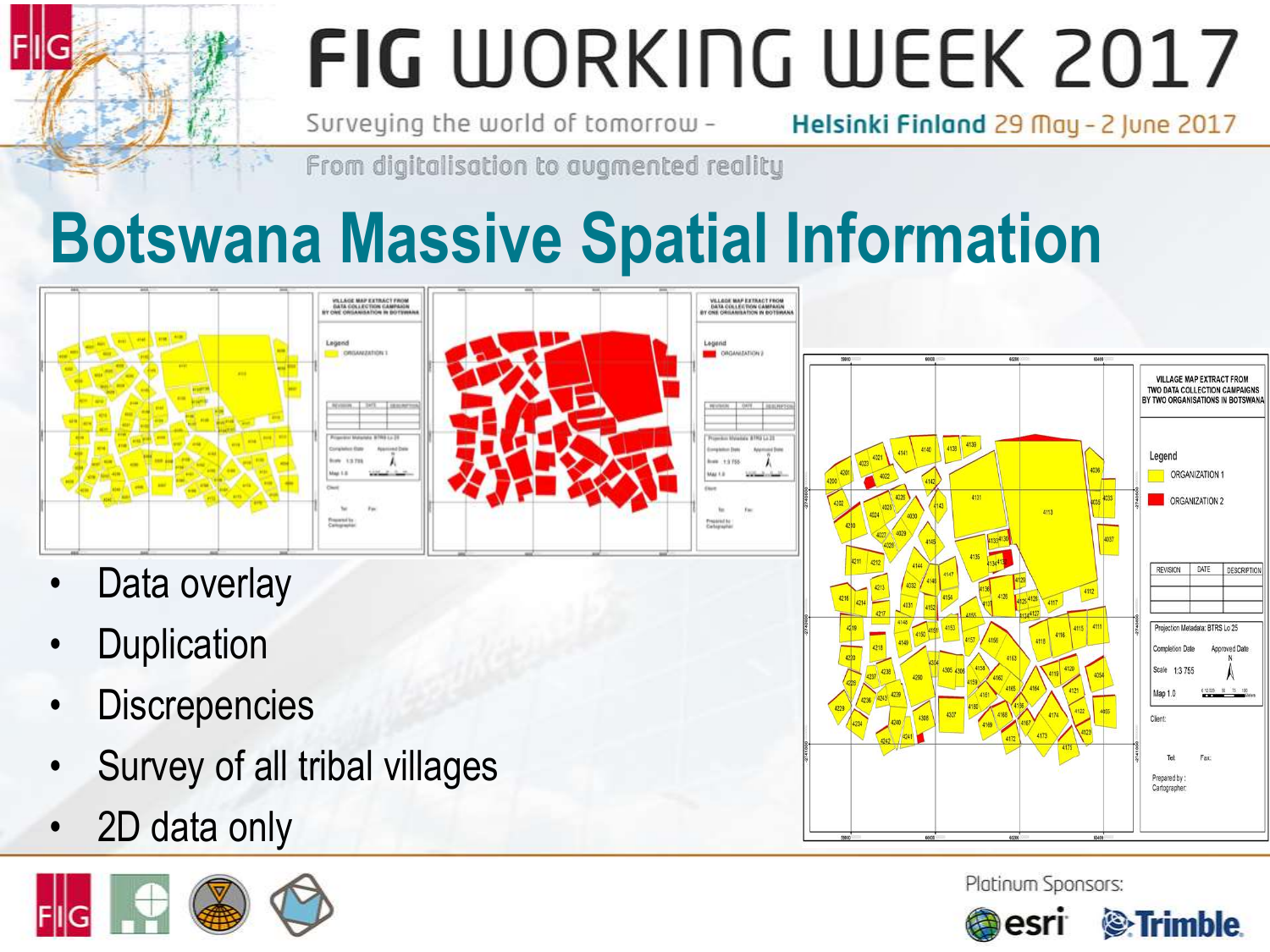Surveying the world of tomorrow -

Helsinki Finland 29 May - 2 June 2017

Map 1.0 Client

Teh Prepared by Cartographer

*S*-Trimble

Platinum Sponsors:

esri

From digitalisation to avamented reality

### **Botswana Massive Spatial Information**



- **Discrepencies**
- Survey of all tribal villages
- 2D data only

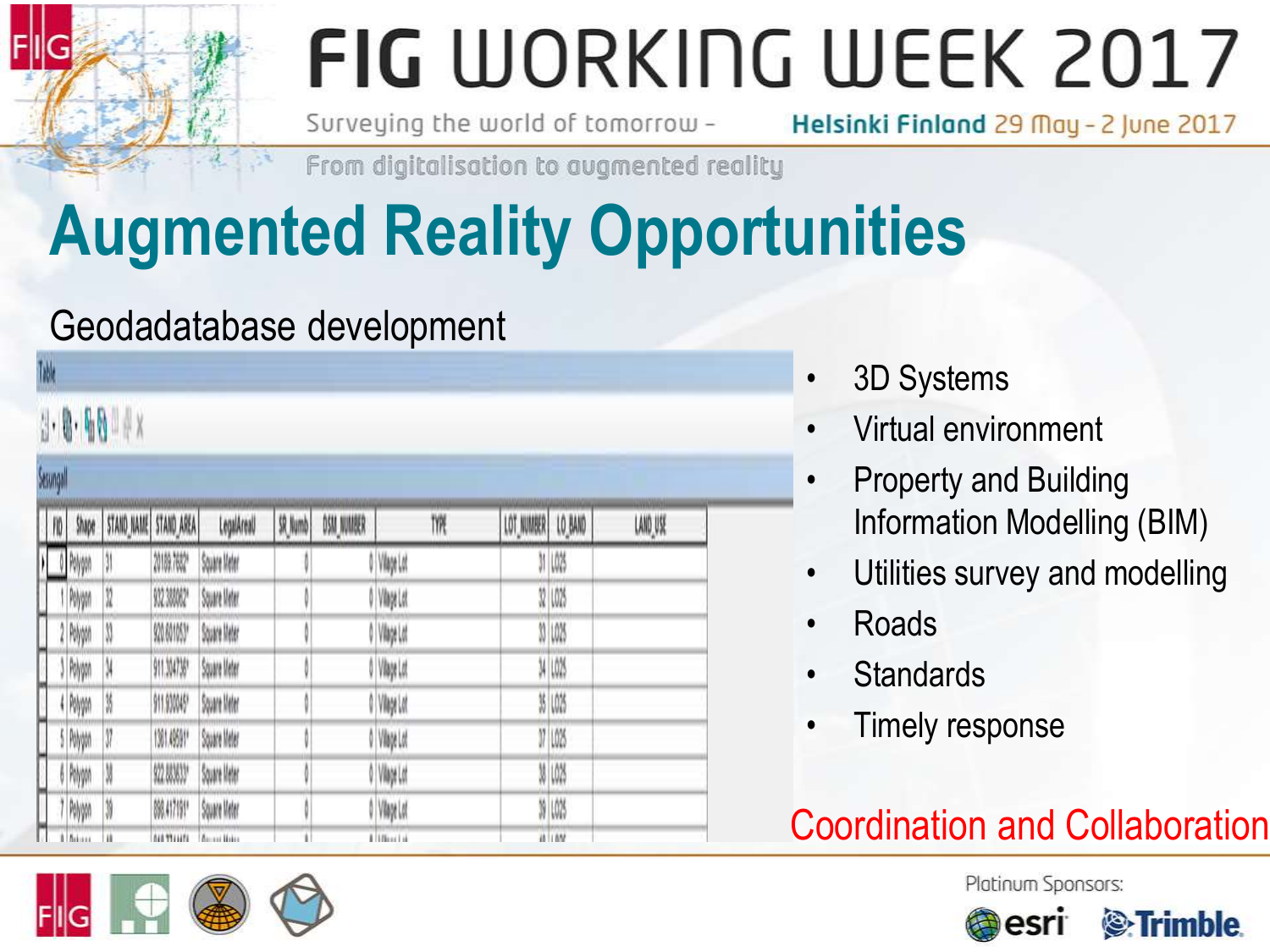Surveying the world of tomorrow -

Helsinki Finland 29 May - 2 June 2017

From digitalisation to augmented reality

### **Augmented Reality Opportunities**

#### Geodadatabase development

|                |         | $1.8.90$ x            |                   |              |         |            |                 |                    |              |          |
|----------------|---------|-----------------------|-------------------|--------------|---------|------------|-----------------|--------------------|--------------|----------|
| Sesungall      |         |                       |                   |              |         |            |                 |                    |              |          |
| $\blacksquare$ | Shape   | STAND_NAME STAND_AREA |                   | LegalAreaU   | SR_Numb | OSM_NUMBER | TYPE            | LOT_NUMBER LO_BAND |              | LAND USE |
|                | Polygon | 31                    | 20189.7682*       | Square Meter |         |            | 0 Vilage Lot    |                    | 31 LO25      |          |
|                | Polygon | N                     | 932.388062*       | Square Meter |         |            | 0 Vinye Lot     |                    | 32 1.025     |          |
|                | Polygon | N                     | 920.601053*       | Square Meter |         |            | O Vilage Lot    |                    | 33 1.025     |          |
|                | Polygo  | N                     | 911.304735*       | Square Meter |         |            | 0 Vilage Lot    |                    | 34 LO25      |          |
| ۳              | Polygon | N                     | 911.930045*       | Square Meter |         |            | 0 Vilage Lot    |                    | 35 1,025     |          |
|                | Polygon | V                     | 1381.49591*       | Square Meter |         |            | 0 Vilage Lot    |                    | 17 LO25      |          |
|                | Rilyga  | M                     | \$22,003633*      | Square Meter |         |            | 0 Vilage Lot    |                    | <b>W 10%</b> |          |
| m              | Polygon | N                     | 898.417191*       | Square Meter |         |            | 0 Vilage Lot    |                    | 39 LO25      |          |
| Ħ              | Askass  | ii.                   | <b>ALL TELLES</b> | Acces Hotel  | ï       |            | 8   178 av 1 at |                    | $\mu$ $\mu$  |          |

- 3D Systems
- Virtual environment
- Property and Building Information Modelling (BIM)
- Utilities survey and modelling
- Roads
- **Standards**
- Timely response

#### Coordination and Collaboration





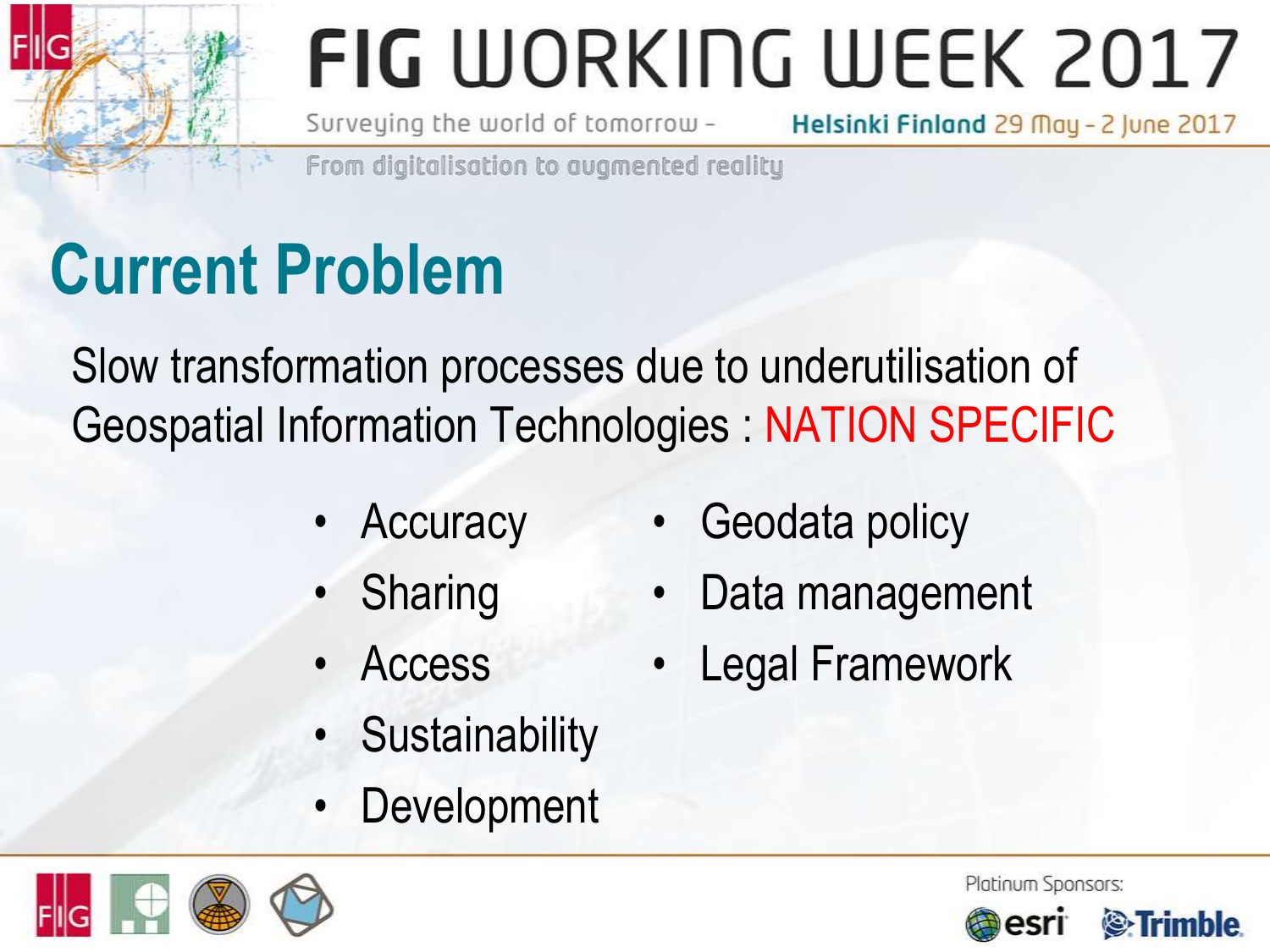Geodata policy

Data management

**Legal Framework** 

Surveying the world of tomorrow -

Helsinki Finland 29 May - 2 June 2017

From digitalisation to avamented reality

### **Current Problem**

Slow transformation processes due to underutilisation of Geospatial Information Technologies : NATION SPECIFIC

- **Accuracy**
- **Sharing**
- **Access** 
	- **Sustainability**
- **Development**





Platinum Sponsors:

*S*-Trimble